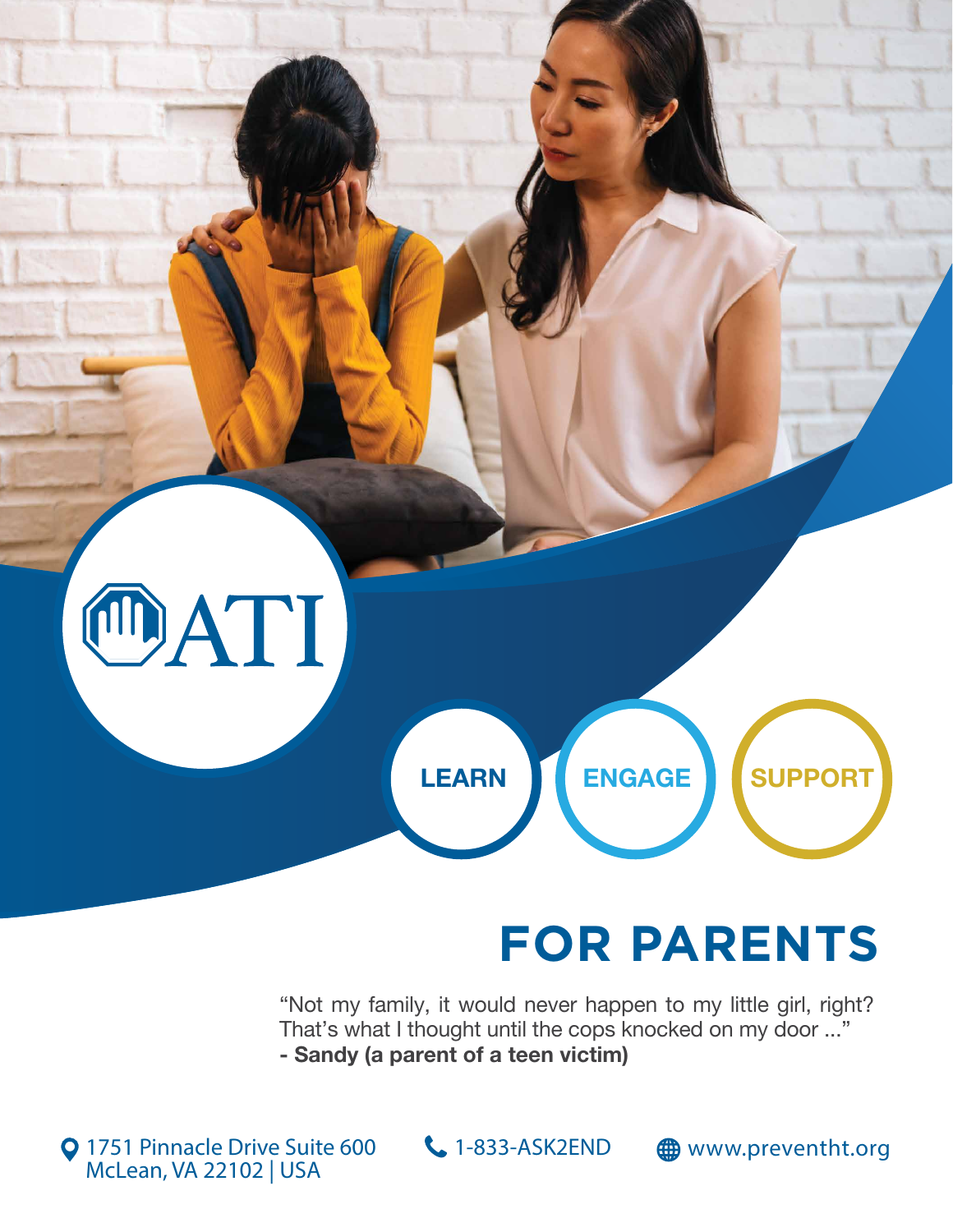

## **FOR PARENTS**

"Not my family, it would never happen to my little girl, right? That's what I thought until the cops knocked on my door ..." - Sandy (a parent of a teen victim)

**Q** 1751 Pinnacle Drive Suite 600 McLean, VA 22102 | USA

 $1 - 833$ 

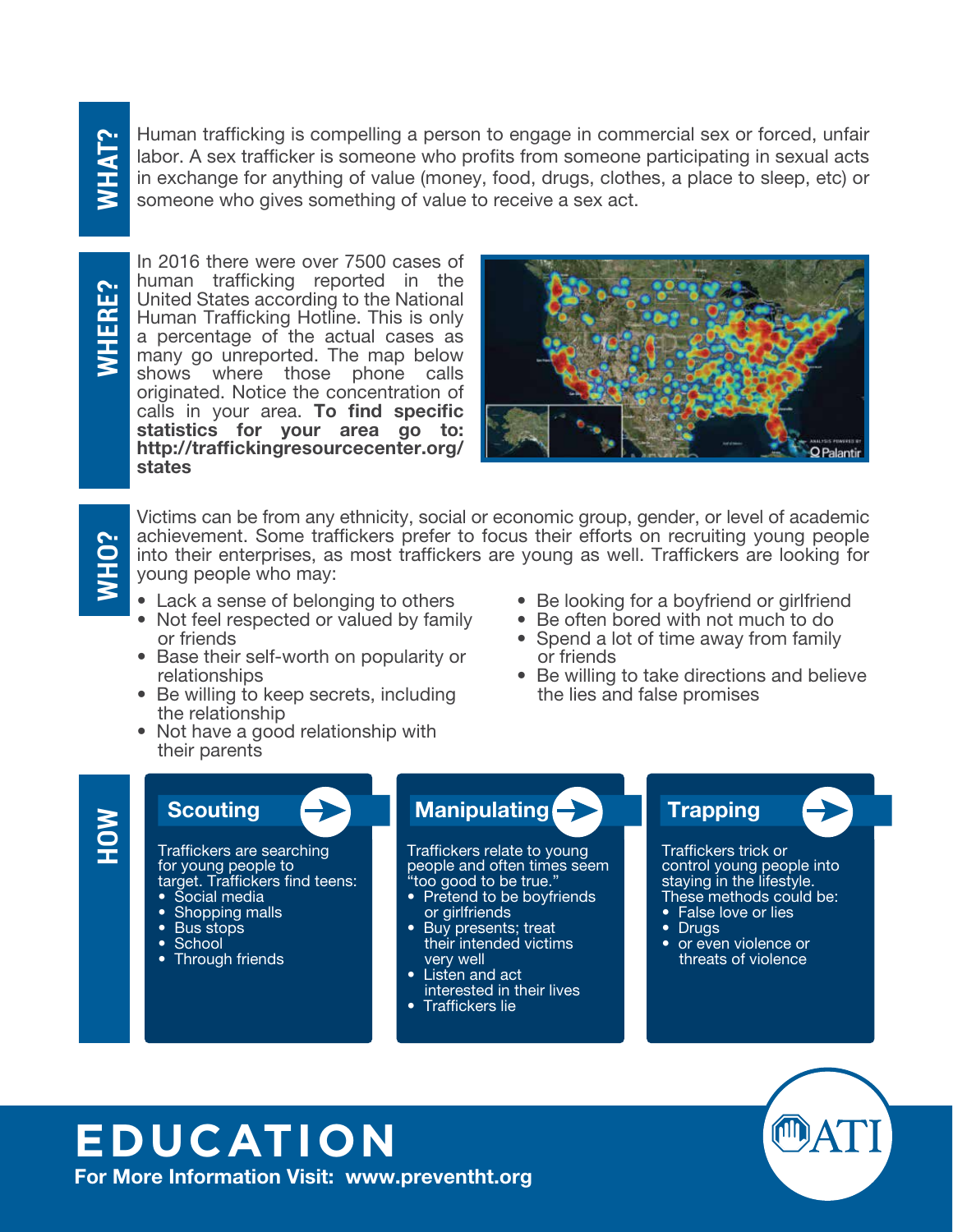# **WHAT?**

Human trafficking is compelling a person to engage in commercial sex or forced, unfair labor. A sex trafficker is someone who profits from someone participating in sexual acts in exchange for anything of value (money, food, drugs, clothes, a place to sleep, etc) or someone who gives something of value to receive a sex act.

**WHERE?**

In 2016 there were over 7500 cases of human trafficking reported in the United States according to the National Human Trafficking Hotline. This is only a percentage of the actual cases as many go unreported. The map below shows where those phone calls originated. Notice the concentration of calls in your area. To find specific statistics for your area go to: http://traffickingresourcecenter.org/ states



# **WHO?**

Victims can be from any ethnicity, social or economic group, gender, or level of academic achievement. Some traffickers prefer to focus their efforts on recruiting young people into their enterprises, as most traffickers are young as well. Traffickers are looking for young people who may:

- Lack a sense of belonging to others
- Not feel respected or valued by family or friends
- Base their self-worth on popularity or relationships
- Be willing to keep secrets, including the relationship
- Not have a good relationship with their parents
- Be looking for a boyfriend or girlfriend
- Be often bored with not much to do
- Spend a lot of time away from family or friends
- Be willing to take directions and believe the lies and false promises

## **HOW**

### Scouting

Traffickers are searching for young people to target. Traffickers find teens:

- Social media
- Shopping malls
- Bus stops
- School • Through friends

#### Manipulating **Trapping**

Traffickers relate to young people and often times seem "too good to be true."

- Pretend to be boyfriends or girlfriends
- Buy presents; treat their intended victims very well
- Listen and act interested in their lives
- Traffickers lie

Traffickers trick or control young people into staying in the lifestyle. These methods could be:

- False love or lies
- Drugs
- or even violence or threats of violence



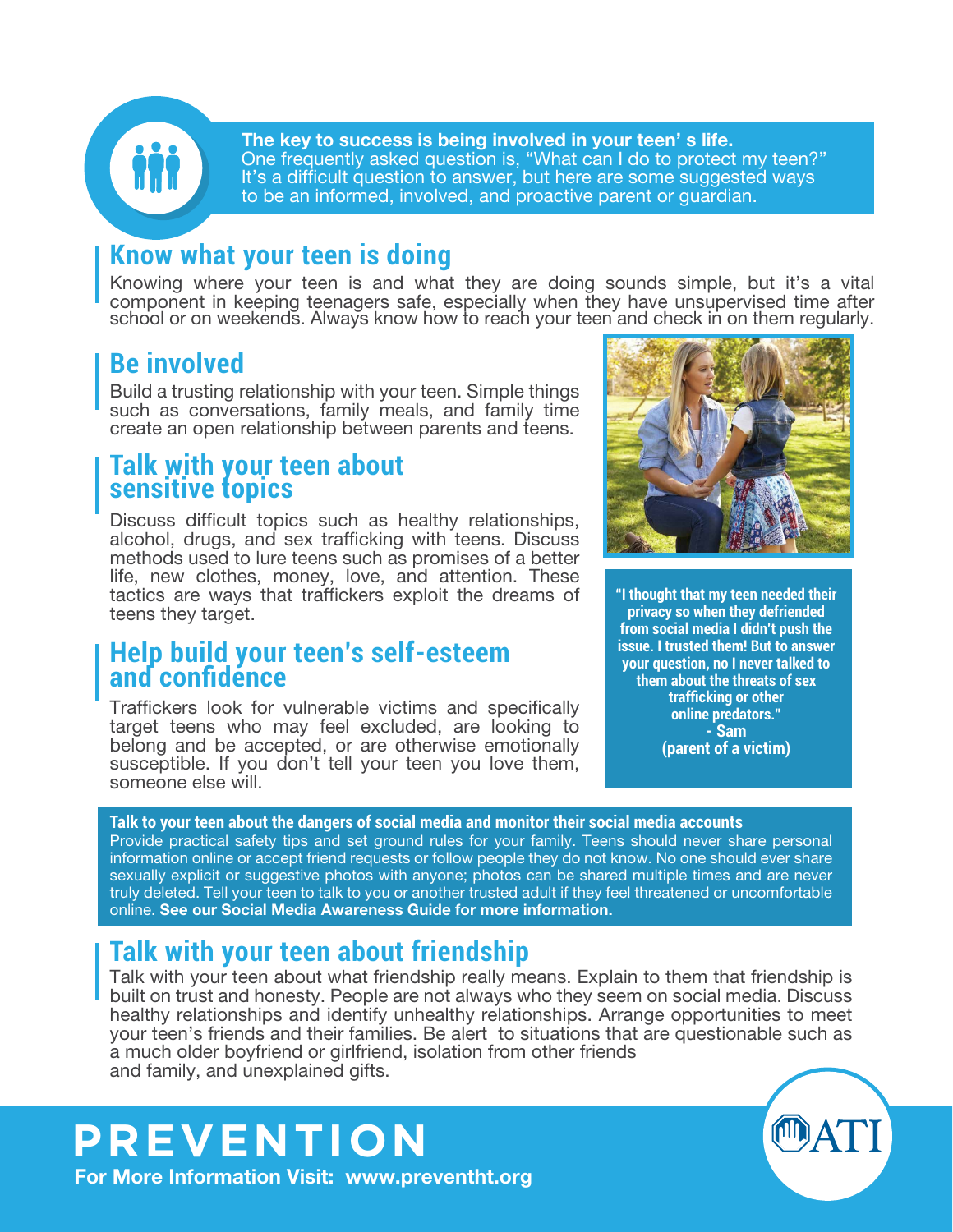

The key to success is being involved in your teen' s life. One frequently asked question is, "What can I do to protect my teen?" It's a difficult question to answer, but here are some suggested ways to be an informed, involved, and proactive parent or guardian.

#### **Know what your teen is doing**

Knowing where your teen is and what they are doing sounds simple, but it's a vital component in keeping teenagers safe, especially when they have unsupervised time after school or on weekends. Always know how to reach your teen and check in on them regularly.

#### **Be involved**

Build a trusting relationship with your teen. Simple things such as conversations, family meals, and family time create an open relationship between parents and teens.

#### **Talk with your teen about sensitive topics**

Discuss difficult topics such as healthy relationships, alcohol, drugs, and sex trafficking with teens. Discuss methods used to lure teens such as promises of a better life, new clothes, money, love, and attention. These tactics are ways that traffickers exploit the dreams of teens they target.

#### **Help build your teen's self-esteem and confidence**

Traffickers look for vulnerable victims and specifically target teens who may feel excluded, are looking to belong and be accepted, or are otherwise emotionally susceptible. If you don't tell your teen you love them, someone else will.



**"I thought that my teen needed their privacy so when they defriended from social media I didn't push the issue. I trusted them! But to answer your question, no I never talked to them about the threats of sex trafficking or other online predators." - Sam (parent of a victim)**

#### **Talk to your teen about the dangers of social media and monitor their social media accounts**

Provide practical safety tips and set ground rules for your family. Teens should never share personal information online or accept friend requests or follow people they do not know. No one should ever share sexually explicit or suggestive photos with anyone; photos can be shared multiple times and are never truly deleted. Tell your teen to talk to you or another trusted adult if they feel threatened or uncomfortable online. See our Social Media Awareness Guide for more information.

#### **Talk with your teen about friendship**

Talk with your teen about what friendship really means. Explain to them that friendship is built on trust and honesty. People are not always who they seem on social media. Discuss healthy relationships and identify unhealthy relationships. Arrange opportunities to meet your teen's friends and their families. Be alert to situations that are questionable such as a much older boyfriend or girlfriend, isolation from other friends and family, and unexplained gifts.

#### **PREVENTION** For More Information Visit: www.preventht.org